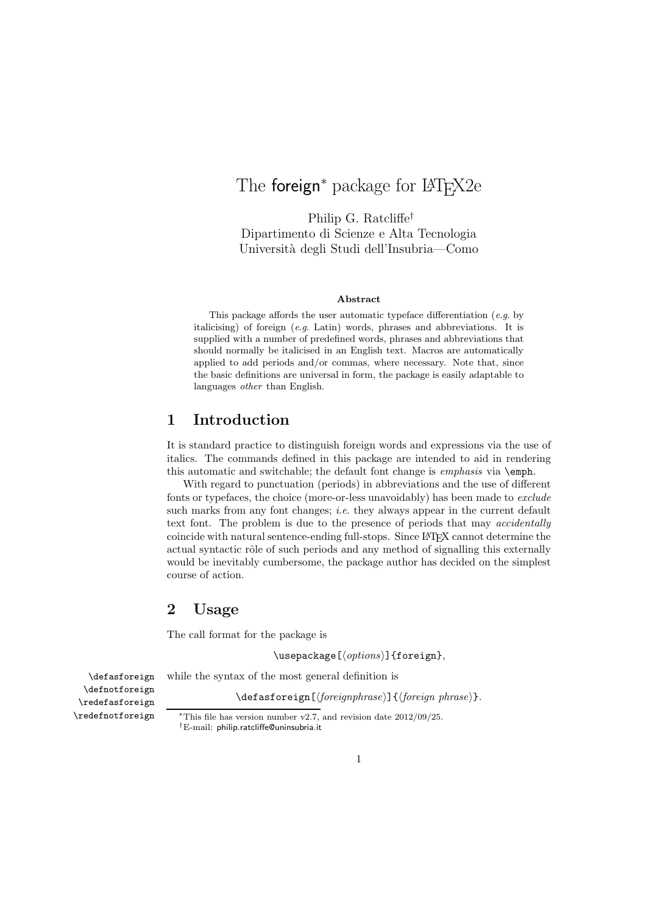# The foreign<sup>∗</sup> package for L<sup>AT</sup>F<sub>X2</sub>e

Philip G. Ratcliffe† Dipartimento di Scienze e Alta Tecnologia Universit`a degli Studi dell'Insubria—Como

#### Abstract

This package affords the user automatic typeface differentiation  $(e.g.$  by italicising) of foreign (e.g. Latin) words, phrases and abbreviations. It is supplied with a number of predefined words, phrases and abbreviations that should normally be italicised in an English text. Macros are automatically applied to add periods and/or commas, where necessary. Note that, since the basic definitions are universal in form, the package is easily adaptable to languages other than English.

# 1 Introduction

It is standard practice to distinguish foreign words and expressions via the use of italics. The commands defined in this package are intended to aid in rendering this automatic and switchable; the default font change is emphasis via \emph.

With regard to punctuation (periods) in abbreviations and the use of different fonts or typefaces, the choice (more-or-less unavoidably) has been made to exclude such marks from any font changes; *i.e.* they always appear in the current default text font. The problem is due to the presence of periods that may accidentally coincide with natural sentence-ending full-stops. Since L<sup>A</sup>TEX cannot determine the actual syntactic rôle of such periods and any method of signalling this externally would be inevitably cumbersome, the package author has decided on the simplest course of action.

# 2 Usage

The call format for the package is

 $\text{Usepackage}[\langle options\rangle]{\text{foreign}},$ 

\defasforeign while the syntax of the most general definition is

 $\defasforeign[\langle foreignphrase\rangle]\{\langle foreign phrase\rangle\}.$ 

\defnotforeign \redefasforeign \redefnotforeign

<sup>∗</sup>This file has version number v2.7, and revision date 2012/09/25.

†E-mail: philip.ratcliffe@uninsubria.it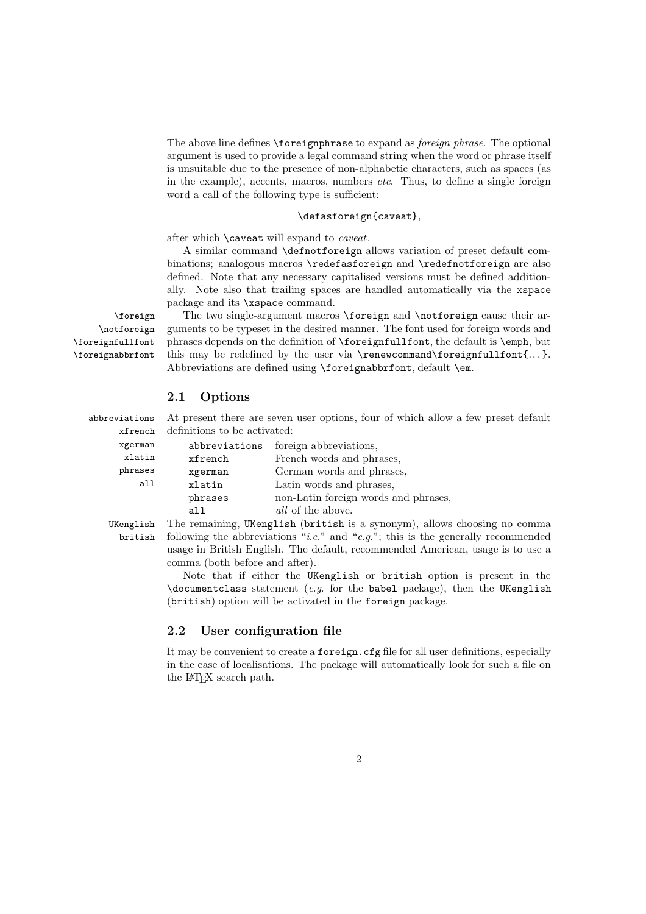The above line defines \foreignphrase to expand as *foreign phrase*. The optional argument is used to provide a legal command string when the word or phrase itself is unsuitable due to the presence of non-alphabetic characters, such as spaces (as in the example), accents, macros, numbers etc. Thus, to define a single foreign word a call of the following type is sufficient:

#### \defasforeign{caveat},

after which \caveat will expand to caveat.

A similar command \defnotforeign allows variation of preset default combinations; analogous macros \redefasforeign and \redefnotforeign are also defined. Note that any necessary capitalised versions must be defined additionally. Note also that trailing spaces are handled automatically via the xspace package and its \xspace command.

\notforeign \foreignfullfont \foreignabbrfont

\foreign The two single-argument macros \foreign and \notforeign cause their ar guments to be typeset in the desired manner. The font used for foreign words and phrases depends on the definition of \foreignfullfont, the default is \emph, but this may be redefined by the user via \renewcommand\foreignfullfont{...}. Abbreviations are defined using \foreignabbrfont, default \em.

## 2.1 Options

xfrench xgerman xlatin phrases all

abbreviations At present there are seven user options, four of which allow a few preset default definitions to be activated:

|   | abbreviations | foreign abbreviations,               |
|---|---------------|--------------------------------------|
| ı | xfrench       | French words and phrases,            |
|   | xgerman       | German words and phrases,            |
|   | xlatin        | Latin words and phrases,             |
|   | phrases       | non-Latin foreign words and phrases, |
|   | all           | <i>all</i> of the above.             |

UKenglish The remaining, UKenglish (british is a synonym), allows choosing no comma british following the abbreviations "*i.e.*" and "*e.g.*"; this is the generally recommended usage in British English. The default, recommended American, usage is to use a comma (both before and after).

> Note that if either the UKenglish or british option is present in the \documentclass statement (e.g. for the babel package), then the UKenglish (british) option will be activated in the foreign package.

#### 2.2 User configuration file

It may be convenient to create a foreign.cfg file for all user definitions, especially in the case of localisations. The package will automatically look for such a file on the L<sup>A</sup>TEX search path.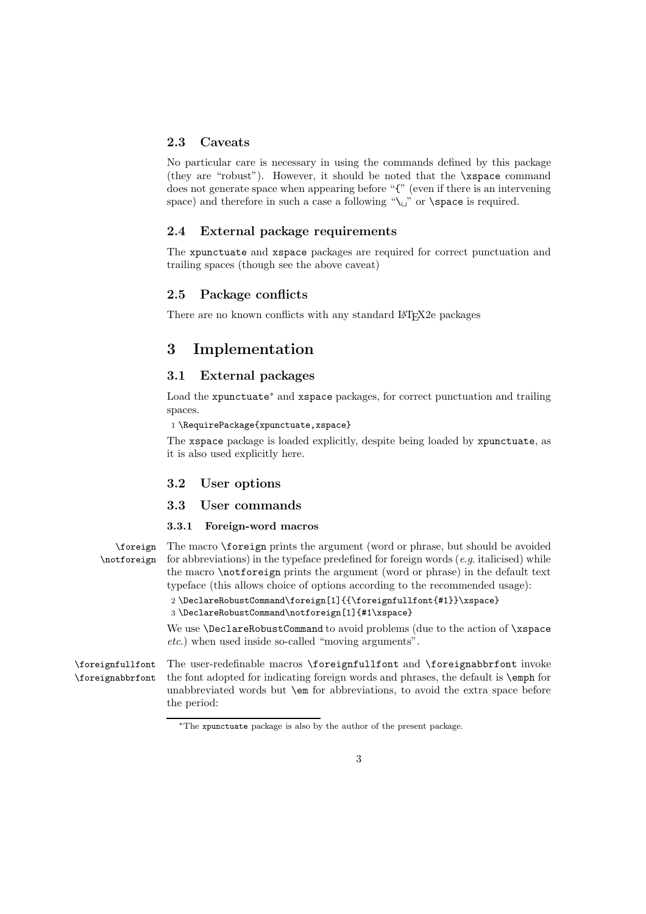### 2.3 Caveats

No particular care is necessary in using the commands defined by this package (they are "robust"). However, it should be noted that the \xspace command does not generate space when appearing before "{" (even if there is an intervening space) and therefore in such a case a following " $\cup$ " or  $\$ space is required.

# 2.4 External package requirements

The xpunctuate and xspace packages are required for correct punctuation and trailing spaces (though see the above caveat)

### 2.5 Package conflicts

There are no known conflicts with any standard LATEX2e packages

# 3 Implementation

## 3.1 External packages

Load the xpunctuate<sup>∗</sup> and xspace packages, for correct punctuation and trailing spaces.

#### 1 \RequirePackage{xpunctuate,xspace}

The xspace package is loaded explicitly, despite being loaded by xpunctuate, as it is also used explicitly here.

### 3.2 User options

### 3.3 User commands

#### 3.3.1 Foreign-word macros

\foreign The macro \foreign prints the argument (word or phrase, but should be avoided \notforeign for abbreviations) in the typeface predefined for foreign words  $(e.g.$  italicised) while the macro \notforeign prints the argument (word or phrase) in the default text typeface (this allows choice of options according to the recommended usage):

> 2 \DeclareRobustCommand\foreign[1]{{\foreignfullfont{#1}}\xspace} 3 \DeclareRobustCommand\notforeign[1]{#1\xspace}

We use **\DeclareRobustCommand** to avoid problems (due to the action of **\xspace** etc.) when used inside so-called "moving arguments".

\foreignfullfont \foreignabbrfont The user-redefinable macros \foreignfullfont and \foreignabbrfont invoke the font adopted for indicating foreign words and phrases, the default is \emph for unabbreviated words but \em for abbreviations, to avoid the extra space before the period:

<sup>∗</sup>The xpunctuate package is also by the author of the present package.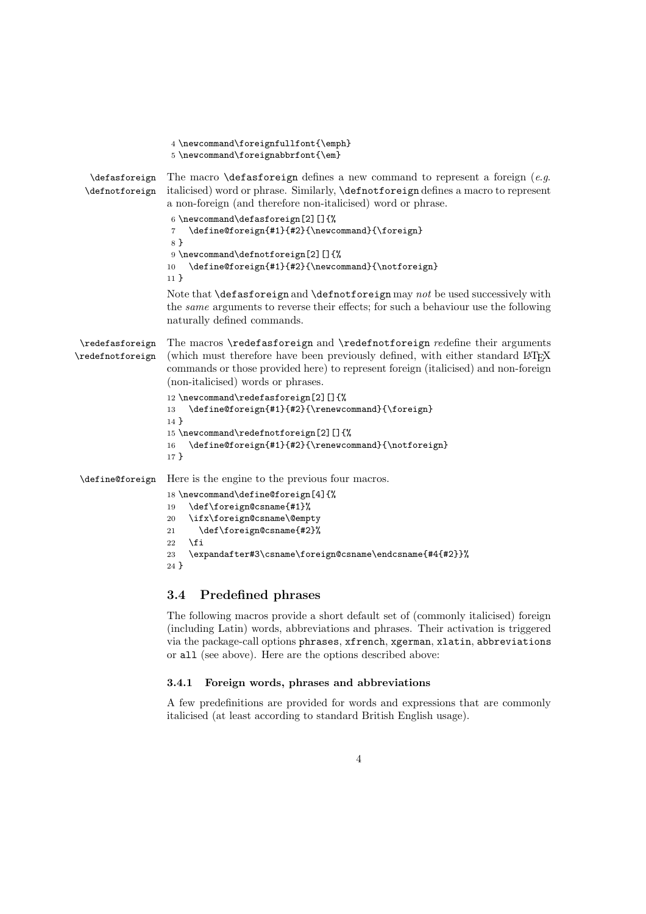|                                     | 4 \newcommand\foreignfullfont{\emph}<br>$5 \newcommand{\ of{\label{thm:main}fore} 5 \newcommand{\label{thm:main}fore} 5 \newcommand{\label{thm:main}fore} 5 \newcommand{\label{thm:main}fore} 5 \newcommand{\label{thm:main}fore} 5 \newcommand{\label{thm:main}fore} 5 \newcommand{\label{thm:main}fore}$ |
|-------------------------------------|------------------------------------------------------------------------------------------------------------------------------------------------------------------------------------------------------------------------------------------------------------------------------------------------------------|
| \defasforeign<br>\defnotforeign     | The macro $\delta$ defasforeign defines a new command to represent a foreign (e.g.<br>italicised) word or phrase. Similarly, <i>definitioneign</i> defines a macro to represent<br>a non-foreign (and therefore non-italicised) word or phrase.                                                            |
|                                     | 6 \newcommand\defasforeign[2][]{%<br>\define@foreign{#1}{#2}{\newcommand}{\foreign}<br>$\overline{7}$<br>8 <sup>}</sup>                                                                                                                                                                                    |
|                                     | 9 \newcommand\defnotforeign[2][]{%<br>\define@foreign{#1}{#2}{\newcommand}{\notforeign}<br>10<br>$11 \}$                                                                                                                                                                                                   |
|                                     | Note that <b>\defasforeign</b> and <b>\defnotforeign</b> may not be used successively with<br>the <i>same</i> arguments to reverse their effects; for such a behaviour use the following<br>naturally defined commands.                                                                                    |
| \redefasforeign<br>\redefnotforeign | The macros <i>\redefasforeign</i> and <i>\redefnotforeign redefine</i> their arguments<br>(which must therefore have been previously defined, with either standard LATFX<br>commands or those provided here) to represent foreign (italicised) and non-foreign<br>(non-italicised) words or phrases.       |
|                                     | 12 \newcommand\redefasforeign[2][]{%<br>\define@foreign{#1}{#2}{\renewcommand}{\foreign}<br>13<br>$14$ }                                                                                                                                                                                                   |
|                                     | 15 \newcommand\redefnotforeign[2][]{%<br>\define@foreign{#1}{#2}{\renewcommand}{\notforeign}<br>16<br>17 <sup>3</sup>                                                                                                                                                                                      |
| \define@foreign                     | Here is the engine to the previous four macros.                                                                                                                                                                                                                                                            |
|                                     | 18 \newcommand\define@foreign[4]{%<br>\def\foreign@csname{#1}%<br>19<br>\ifx\foreign@csname\@empty<br>20<br>\def\foreign@csname{#2}%<br>21<br>\fi<br>22                                                                                                                                                    |
|                                     | \expandafter#3\csname\foreign@csname\endcsname{#4{#2}}%<br>23<br>$24$ }                                                                                                                                                                                                                                    |

# 3.4 Predefined phrases

The following macros provide a short default set of (commonly italicised) foreign (including Latin) words, abbreviations and phrases. Their activation is triggered via the package-call options phrases, xfrench, xgerman, xlatin, abbreviations or all (see above). Here are the options described above:

### 3.4.1 Foreign words, phrases and abbreviations

A few predefinitions are provided for words and expressions that are commonly italicised (at least according to standard British English usage).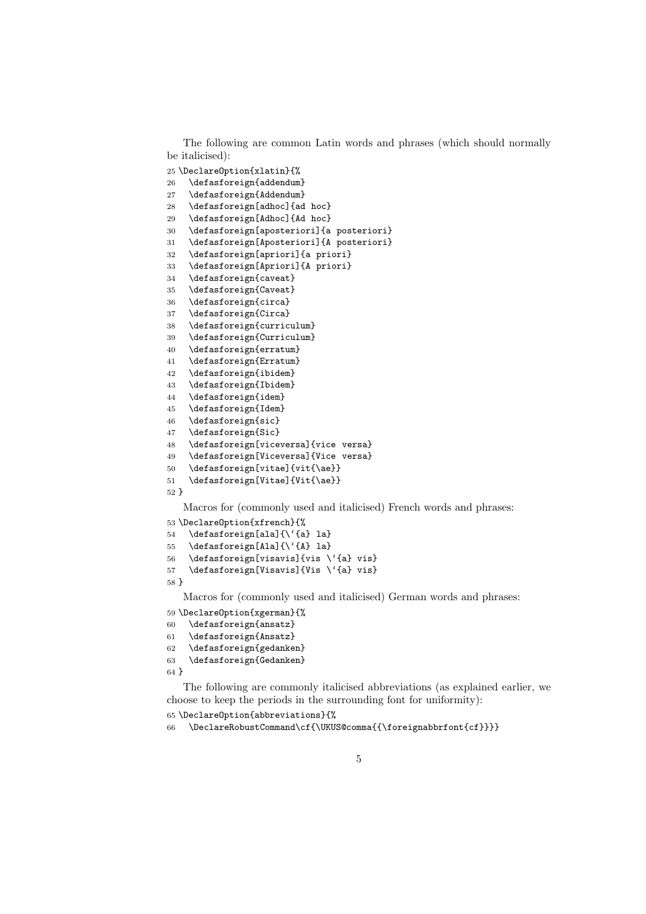The following are common Latin words and phrases (which should normally be italicised):

 \DeclareOption{xlatin}{% \defasforeign{addendum} \defasforeign{Addendum} \defasforeign[adhoc]{ad hoc} \defasforeign[Adhoc]{Ad hoc} \defasforeign[aposteriori]{a posteriori} \defasforeign[Aposteriori]{A posteriori} \defasforeign[apriori]{a priori} \defasforeign[Apriori]{A priori} \defasforeign{caveat} \defasforeign{Caveat} \defasforeign{circa} \defasforeign{Circa} \defasforeign{curriculum} \defasforeign{Curriculum} \defasforeign{erratum} \defasforeign{Erratum} \defasforeign{ibidem} \defasforeign{Ibidem} \defasforeign{idem} \defasforeign{Idem} \defasforeign{sic} \defasforeign{Sic} \defasforeign[viceversa]{vice versa} \defasforeign[Viceversa]{Vice versa} \defasforeign[vitae]{vit{\ae}} \defasforeign[Vitae]{Vit{\ae}} }

Macros for (commonly used and italicised) French words and phrases:

```
53 \DeclareOption{xfrench}{%
54 \defasforeign[ala]{\'{a} la}
55 \defasforeign[Ala]{\'{A} la}
56 \defasforeign[visavis]{vis \'{a} vis}
```

```
57 \defasforeign[Visavis]{Vis \'{a} vis}
58 }
```
Macros for (commonly used and italicised) German words and phrases: \DeclareOption{xgerman}{%

```
60 \defasforeign{ansatz}
61 \defasforeign{Ansatz}
```

```
62 \defasforeign{gedanken}
63 \defasforeign{Gedanken}
```
}

The following are commonly italicised abbreviations (as explained earlier, we choose to keep the periods in the surrounding font for uniformity):

```
65 \DeclareOption{abbreviations}{%
```

```
66 \DeclareRobustCommand\cf{\UKUS@comma{{\foreignabbrfont{cf}}}}
```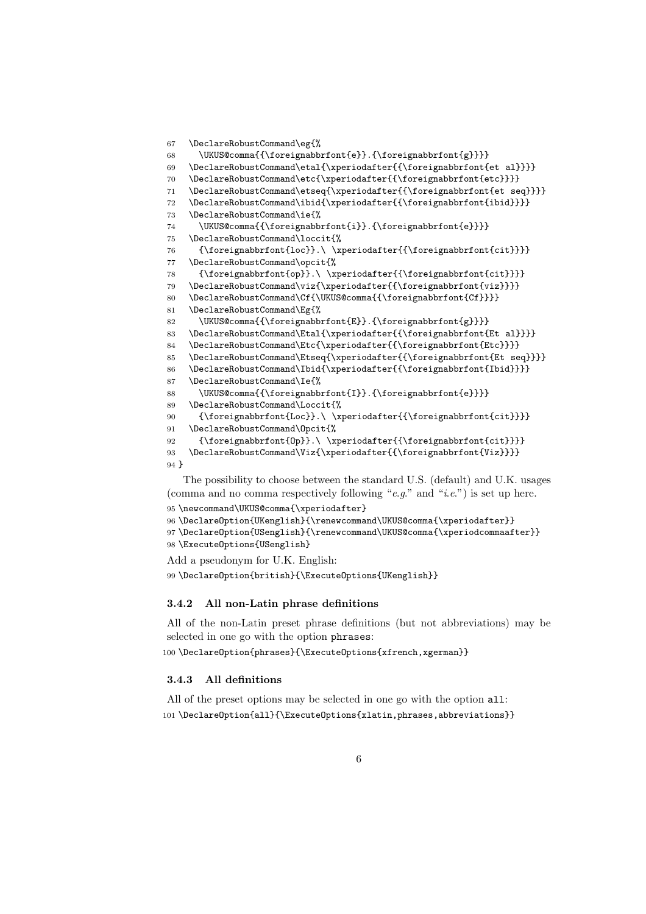```
67 \DeclareRobustCommand\eg{%
68 \UKUS@comma{{\foreignabbrfont{e}}.{\foreignabbrfont{g}}}}
69 \DeclareRobustCommand\etal{\xperiodafter{{\foreignabbrfont{et al}}}}
70 \DeclareRobustCommand\etc{\xperiodafter{{\foreignabbrfont{etc}}}}
71 \DeclareRobustCommand\etseq{\xperiodafter{{\foreignabbrfont{et seq}}}}
72 \DeclareRobustCommand\ibid{\xperiodafter{{\foreignabbrfont{ibid}}}}
73 \DeclareRobustCommand\ie{%
\verb|74| \VKWS@comma{\\foreignabbrfont{i}.{\fore\ncopapabbrfont{e}}\}75 \DeclareRobustCommand\loccit{%
76 {\foreignabbrfont{loc}}.\ \xperiodafter{{\foreignabbrfont{cit}}}}
77 \DeclareRobustCommand\opcit{%
78 {\foreignabbrfont{op}}.\ \xperiodafter{{\foreignabbrfont{cit}}}}
79 \DeclareRobustCommand\viz{\xperiodafter{{\foreignabbrfont{viz}}}}
80 \DeclareRobustCommand\Cf{\UKUS@comma{{\foreignabbrfont{Cf}}}}
81 \DeclareRobustCommand\Eg{%
82 \UKUS@comma{{\foreignabbrfont{E}}.{\foreignabbrfont{g}}}}
83 \DeclareRobustCommand\Etal{\xperiodafter{{\foreignabbrfont{Et al}}}}
84 \DeclareRobustCommand\Etc{\xperiodafter{{\foreignabbrfont{Etc}}}}
85 \DeclareRobustCommand\Etseq{\xperiodafter{{\foreignabbrfont{Et seq}}}}
86 \DeclareRobustCommand\Ibid{\xperiodafter{{\foreignabbrfont{Ibid}}}}
87 \DeclareRobustCommand\Ie{%
88 \UKUS@comma{{\foreignabbrfont{I}}.{\foreignabbrfont{e}}}}
89 \DeclareRobustCommand\Loccit{%
90 {\foreignabbrfont{Loc}}.\ \xperiodafter{{\foreignabbrfont{cit}}}}
91 \DeclareRobustCommand\Opcit{%
92 \hspace{13pt} \verb|{Op}|. \ \xperiod after {{\oreignabbrfont{cit}}}\}93 \DeclareRobustCommand\Viz{\xperiodafter{{\foreignabbrfont{Viz}}}}
94 }
```
The possibility to choose between the standard U.S. (default) and U.K. usages (comma and no comma respectively following " $e.g.$ " and " $i.e.$ ") is set up here.

```
95 \newcommand\UKUS@comma{\xperiodafter}
96 \DeclareOption{UKenglish}{\renewcommand\UKUS@comma{\xperiodafter}}
97 \DeclareOption{USenglish}{\renewcommand\UKUS@comma{\xperiodcommaafter}}
98 \ExecuteOptions{USenglish}
```
Add a pseudonym for U.K. English: \DeclareOption{british}{\ExecuteOptions{UKenglish}}

#### 3.4.2 All non-Latin phrase definitions

All of the non-Latin preset phrase definitions (but not abbreviations) may be selected in one go with the option phrases:

100 \DeclareOption{phrases}{\ExecuteOptions{xfrench,xgerman}}

#### 3.4.3 All definitions

All of the preset options may be selected in one go with the option all: \DeclareOption{all}{\ExecuteOptions{xlatin,phrases,abbreviations}}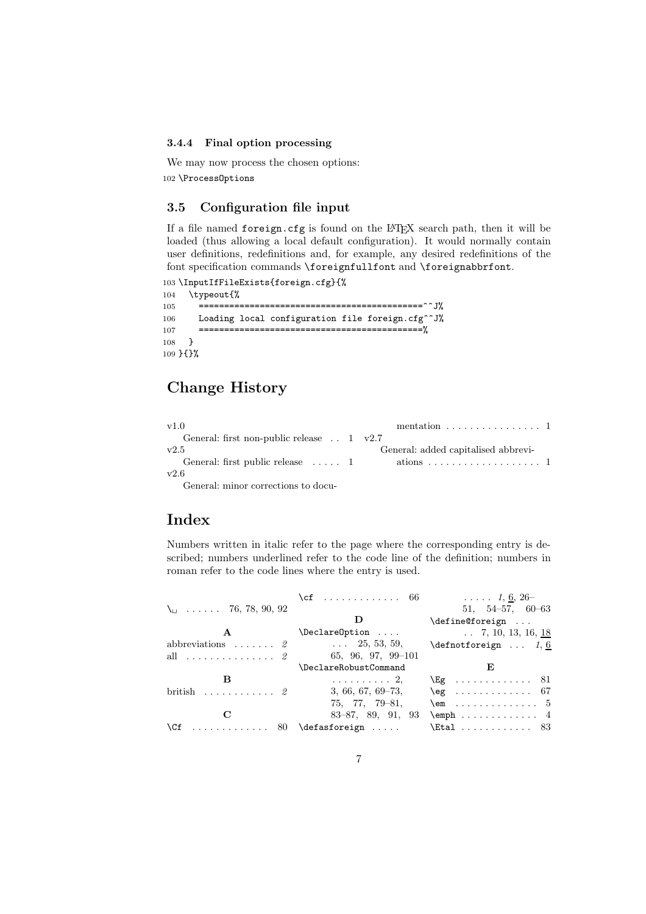#### 3.4.4 Final option processing

We may now process the chosen options: 102 \ProcessOptions

## 3.5 Configuration file input

If a file named foreign.cfg is found on the L<sup>A</sup>TEX search path, then it will be loaded (thus allowing a local default configuration). It would normally contain user definitions, redefinitions and, for example, any desired redefinitions of the font specification commands \foreignfullfont and \foreignabbrfont.

```
103 \InputIfFileExists{foreign.cfg}{%
104 \typeout{%
105 ============================================^^J%
106 Loading local configuration file foreign.cfg<sup>oo</sup>J%
107 ============================================%
108 }
109 }{}%
```
# Change History

| v1.0                                              | mentation $\ldots \ldots \ldots \ldots 1$ |  |
|---------------------------------------------------|-------------------------------------------|--|
| General: first non-public release $\ldots$ 1 v2.7 |                                           |  |
| v2.5                                              | General: added capitalised abbrevi-       |  |
|                                                   |                                           |  |
| v2.6                                              |                                           |  |
|                                                   |                                           |  |

General: minor corrections to docu-

# Index

Numbers written in italic refer to the page where the corresponding entry is described; numbers underlined refer to the code line of the definition; numbers in roman refer to the code lines where the entry is used.

| $\lambda_{\square}$ 76, 78, 90, 92  | \cf  66 $1, 6, 26$    | $51, 54-57, 60-63$                                                    |
|-------------------------------------|-----------------------|-----------------------------------------------------------------------|
|                                     |                       | \define@foreign                                                       |
| $\mathbf{A}$                        | $\Delta$ relareOption | $\ldots$ 7, 10, 13, 16, <u>18</u>                                     |
| abbreviations $2 \quad 25, 53, 59,$ |                       | $\def\mathrm{or}eign \dots 1, 6$                                      |
| all $\ldots \ldots \ldots \ldots 2$ | 65, 96, 97, 99-101    |                                                                       |
|                                     | \DeclareRobustCommand | E,                                                                    |
| в                                   |                       | $\ldots \ldots \ldots \ldots$ 2, NEg $\ldots \ldots \ldots \ldots$ 81 |
| british $2$                         | $3, 66, 67, 69-73,$   | $\geq 67$                                                             |
|                                     | $75, 77, 79-81,$      | $\text{lem}$ 5                                                        |
| C                                   |                       | $83-87, 89, 91, 93$ \emph  4                                          |
| $\Cf$ 80 \defasforeign              |                       | $\text{Etal} \ldots \ldots \ldots 83$                                 |